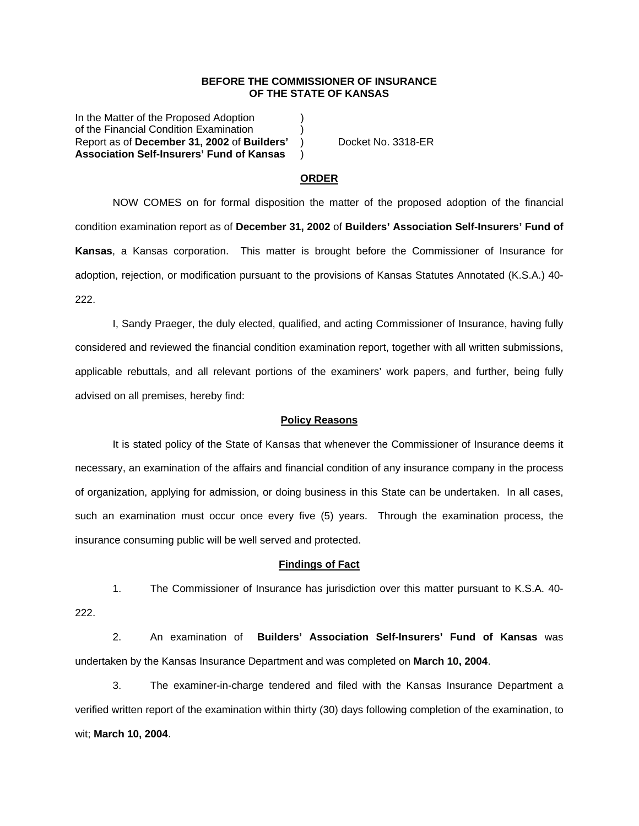### **BEFORE THE COMMISSIONER OF INSURANCE OF THE STATE OF KANSAS**

In the Matter of the Proposed Adoption of the Financial Condition Examination ) Report as of **December 31, 2002** of **Builders'** ) Docket No. 3318-ER **Association Self-Insurers' Fund of Kansas** )

## **ORDER**

 NOW COMES on for formal disposition the matter of the proposed adoption of the financial condition examination report as of **December 31, 2002** of **Builders' Association Self-Insurers' Fund of Kansas**, a Kansas corporation. This matter is brought before the Commissioner of Insurance for adoption, rejection, or modification pursuant to the provisions of Kansas Statutes Annotated (K.S.A.) 40- 222.

 I, Sandy Praeger, the duly elected, qualified, and acting Commissioner of Insurance, having fully considered and reviewed the financial condition examination report, together with all written submissions, applicable rebuttals, and all relevant portions of the examiners' work papers, and further, being fully advised on all premises, hereby find:

#### **Policy Reasons**

 It is stated policy of the State of Kansas that whenever the Commissioner of Insurance deems it necessary, an examination of the affairs and financial condition of any insurance company in the process of organization, applying for admission, or doing business in this State can be undertaken. In all cases, such an examination must occur once every five (5) years. Through the examination process, the insurance consuming public will be well served and protected.

#### **Findings of Fact**

 1. The Commissioner of Insurance has jurisdiction over this matter pursuant to K.S.A. 40- 222.

 2. An examination of **Builders' Association Self-Insurers' Fund of Kansas** was undertaken by the Kansas Insurance Department and was completed on **March 10, 2004**.

 3. The examiner-in-charge tendered and filed with the Kansas Insurance Department a verified written report of the examination within thirty (30) days following completion of the examination, to wit; **March 10, 2004**.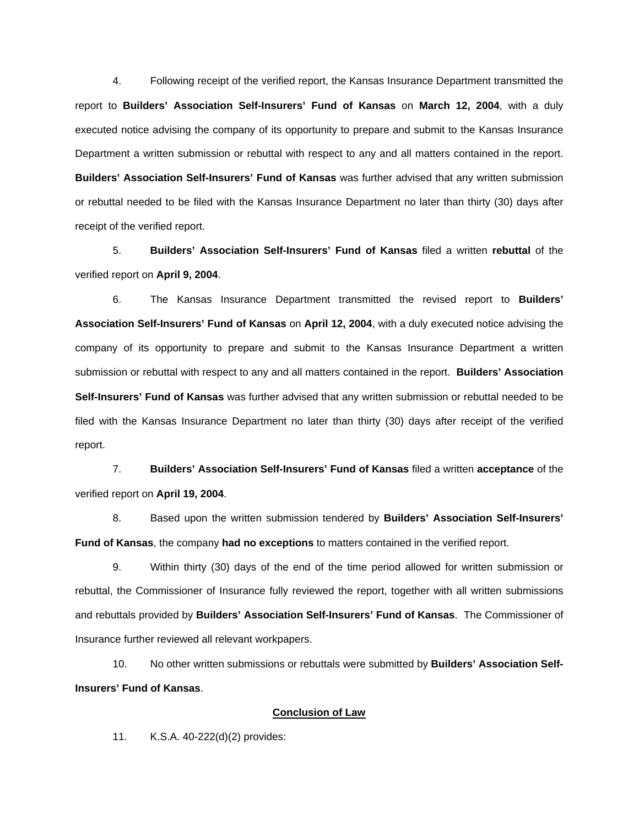4. Following receipt of the verified report, the Kansas Insurance Department transmitted the report to **Builders' Association Self-Insurers' Fund of Kansas** on **March 12, 2004**, with a duly executed notice advising the company of its opportunity to prepare and submit to the Kansas Insurance Department a written submission or rebuttal with respect to any and all matters contained in the report. **Builders' Association Self-Insurers' Fund of Kansas** was further advised that any written submission or rebuttal needed to be filed with the Kansas Insurance Department no later than thirty (30) days after receipt of the verified report.

 5. **Builders' Association Self-Insurers' Fund of Kansas** filed a written **rebuttal** of the verified report on **April 9, 2004**.

 6. The Kansas Insurance Department transmitted the revised report to **Builders' Association Self-Insurers' Fund of Kansas** on **April 12, 2004**, with a duly executed notice advising the company of its opportunity to prepare and submit to the Kansas Insurance Department a written submission or rebuttal with respect to any and all matters contained in the report. **Builders' Association Self-Insurers' Fund of Kansas** was further advised that any written submission or rebuttal needed to be filed with the Kansas Insurance Department no later than thirty (30) days after receipt of the verified report.

 7. **Builders' Association Self-Insurers' Fund of Kansas** filed a written **acceptance** of the verified report on **April 19, 2004**.

 8. Based upon the written submission tendered by **Builders' Association Self-Insurers' Fund of Kansas**, the company **had no exceptions** to matters contained in the verified report.

 9. Within thirty (30) days of the end of the time period allowed for written submission or rebuttal, the Commissioner of Insurance fully reviewed the report, together with all written submissions and rebuttals provided by **Builders' Association Self-Insurers' Fund of Kansas**. The Commissioner of Insurance further reviewed all relevant workpapers.

 10. No other written submissions or rebuttals were submitted by **Builders' Association Self-Insurers' Fund of Kansas**.

## **Conclusion of Law**

11. K.S.A. 40-222(d)(2) provides: